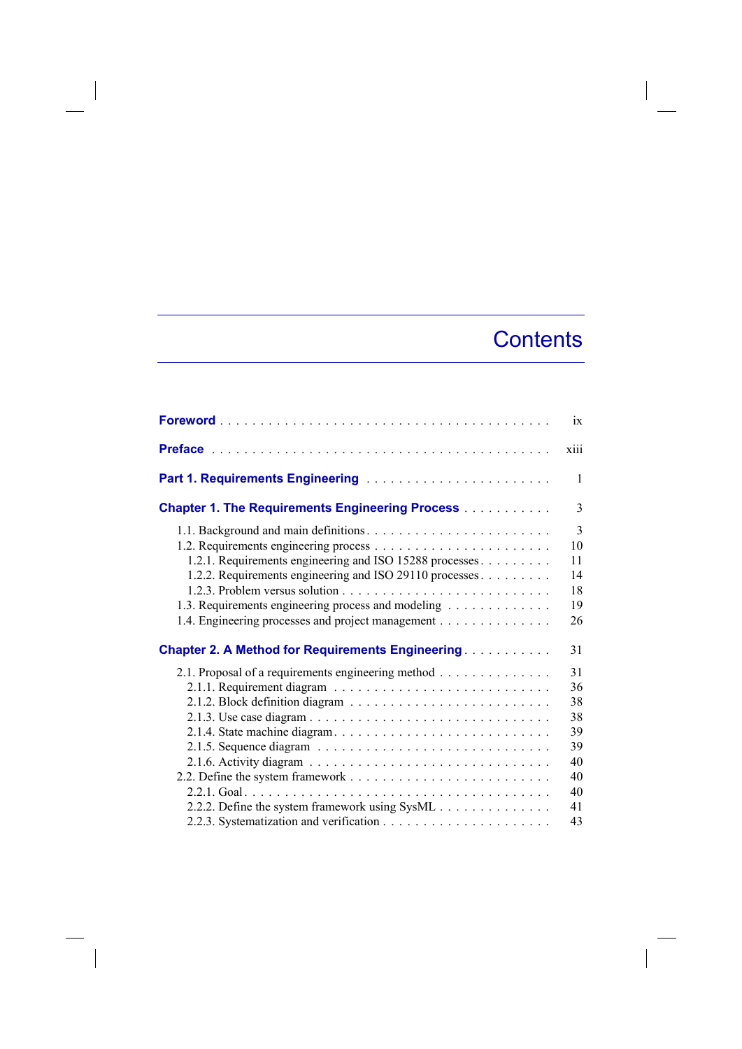## **Contents**

 $\overline{\phantom{a}}$ 

|                                                                                                                                                                                                                                                                                            | $\overline{1}X$                                                |
|--------------------------------------------------------------------------------------------------------------------------------------------------------------------------------------------------------------------------------------------------------------------------------------------|----------------------------------------------------------------|
|                                                                                                                                                                                                                                                                                            | <b>X111</b>                                                    |
| Part 1. Requirements Engineering                                                                                                                                                                                                                                                           | 1                                                              |
| <b>Chapter 1. The Requirements Engineering Process</b>                                                                                                                                                                                                                                     | 3                                                              |
| 1.2.1. Requirements engineering and ISO 15288 processes.<br>1.2.2. Requirements engineering and ISO 29110 processes<br>1.3. Requirements engineering process and modeling<br>1.4. Engineering processes and project management<br><b>Chapter 2. A Method for Requirements Engineering </b> | 3<br>10<br>11<br>14<br>18<br>19<br>26<br>31                    |
| 2.1. Proposal of a requirements engineering method<br>2.2.2. Define the system framework using SysML                                                                                                                                                                                       | 31<br>36<br>38<br>38<br>39<br>39<br>40<br>40<br>40<br>41<br>43 |

 $\begin{array}{c} \hline \end{array}$ 

 $\overline{\phantom{a}}$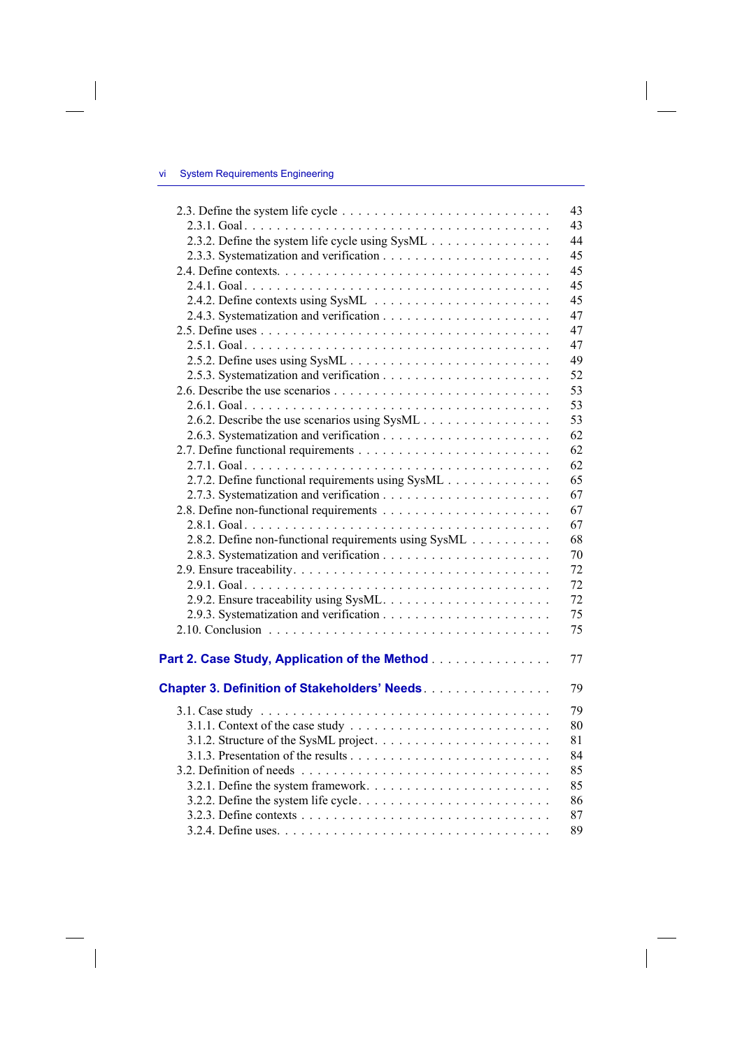$\overline{\phantom{a}}$ 

 $\overline{\phantom{a}}$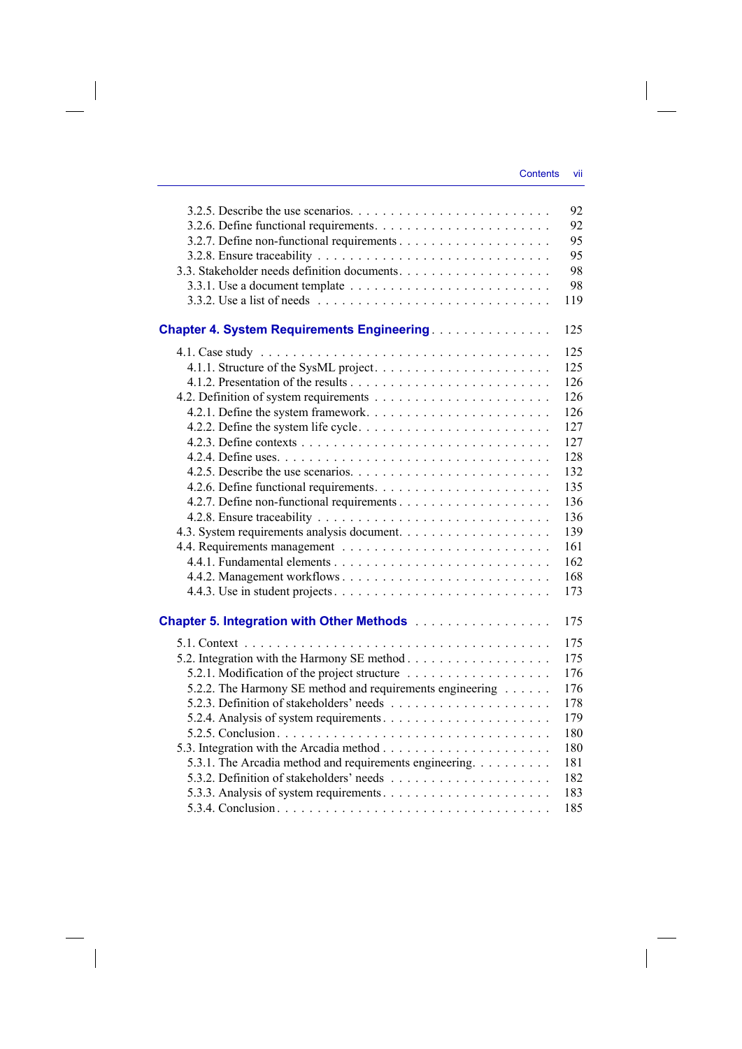$\overline{\phantom{a}}$ 

|                                                                                              | 92  |
|----------------------------------------------------------------------------------------------|-----|
|                                                                                              | 92  |
|                                                                                              | 95  |
|                                                                                              | 95  |
|                                                                                              | 98  |
|                                                                                              | 98  |
|                                                                                              | 119 |
|                                                                                              |     |
| <b>Chapter 4. System Requirements Engineering</b>                                            | 125 |
|                                                                                              | 125 |
|                                                                                              | 125 |
|                                                                                              | 126 |
|                                                                                              | 126 |
|                                                                                              | 126 |
| 4.2.2. Define the system life cycle. $\dots \dots \dots \dots \dots \dots \dots \dots \dots$ | 127 |
|                                                                                              | 127 |
|                                                                                              | 128 |
|                                                                                              | 132 |
|                                                                                              | 135 |
|                                                                                              | 136 |
|                                                                                              | 136 |
|                                                                                              | 139 |
|                                                                                              | 161 |
|                                                                                              | 162 |
|                                                                                              | 168 |
|                                                                                              | 173 |
|                                                                                              |     |
| <b>Chapter 5. Integration with Other Methods</b>                                             | 175 |
|                                                                                              | 175 |
|                                                                                              | 175 |
|                                                                                              | 176 |
| 5.2.2. The Harmony SE method and requirements engineering                                    | 176 |
|                                                                                              | 178 |
|                                                                                              | 179 |
|                                                                                              | 180 |
|                                                                                              | 180 |
| 5.3.1. The Arcadia method and requirements engineering.                                      | 181 |
|                                                                                              | 182 |
|                                                                                              | 183 |
|                                                                                              | 185 |

 $\overline{\phantom{a}}$ 

 $\mathcal{L}^{\mathcal{L}}$